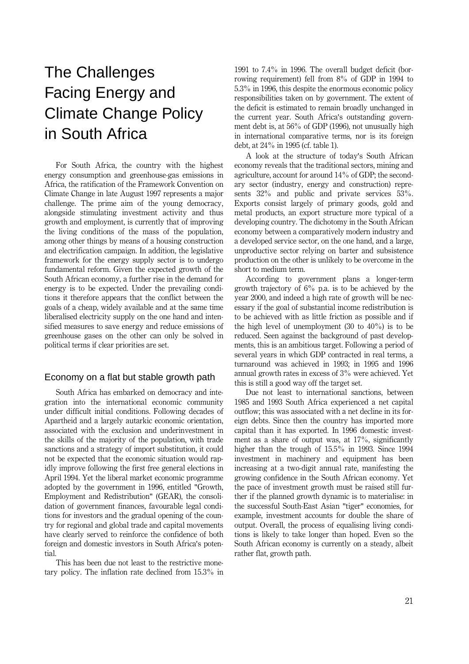# The Challenges Facing Energy and Climate Change Policy in South Africa

For South Africa, the country with the highest energy consumption and greenhouse-gas emissions in Africa, the ratification of the Framework Convention on Climate Change in late August 1997 represents a major challenge. The prime aim of the young democracy, alongside stimulating investment activity and thus growth and employment, is currently that of improving the living conditions of the mass of the population, among other things by means of a housing construction and electrification campaign. In addition, the legislative framework for the energy supply sector is to undergo fundamental reform. Given the expected growth of the South African economy, a further rise in the demand for energy is to be expected. Under the prevailing conditions it therefore appears that the conflict between the goals of a cheap, widely available and at the same time liberalised electricity supply on the one hand and intensified measures to save energy and reduce emissions of greenhouse gases on the other can only be solved in political terms if clear priorities are set.

# Economy on a flat but stable growth path

South Africa has embarked on democracy and integration into the international economic community under difficult initial conditions. Following decades of Apartheid and a largely autarkic economic orientation, associated with the exclusion and underinvestment in the skills of the majority of the population, with trade sanctions and a strategy of import substitution, it could not be expected that the economic situation would rapidly improve following the first free general elections in April 1994. Yet the liberal market economic programme adopted by the government in 1996, entitled "Growth, Employment and Redistribution" (GEAR), the consolidation of government finances, favourable legal conditions for investors and the gradual opening of the country for regional and global trade and capital movements have clearly served to reinforce the confidence of both foreign and domestic investors in South Africa's potential.

This has been due not least to the restrictive monetary policy. The inflation rate declined from 15.3% in 1991 to 7.4% in 1996. The overall budget deficit (borrowing requirement) fell from 8% of GDP in 1994 to 5.3% in 1996, this despite the enormous economic policy responsibilities taken on by government. The extent of the deficit is estimated to remain broadly unchanged in the current year. South Africa's outstanding government debt is, at 56% of GDP (1996), not unusually high in international comparative terms, nor is its foreign debt, at 24% in 1995 (cf. table 1).

A look at the structure of today's South African economy reveals that the traditional sectors, mining and agriculture, account for around 14% of GDP; the secondary sector (industry, energy and construction) represents 32% and public and private services 53%. Exports consist largely of primary goods, gold and metal products, an export structure more typical of a developing country. The dichotomy in the South African economy between a comparatively modern industry and a developed service sector, on the one hand, and a large, unproductive sector relying on barter and subsistence production on the other is unlikely to be overcome in the short to medium term.

According to government plans a longer-term growth trajectory of 6% p.a. is to be achieved by the year 2000, and indeed a high rate of growth will be necessary if the goal of substantial income redistribution is to be achieved with as little friction as possible and if the high level of unemployment  $(30 \text{ to } 40\%)$  is to be reduced. Seen against the background of past developments, this is an ambitious target. Following a period of several years in which GDP contracted in real terms, a turnaround was achieved in 1993; in 1995 and 1996 annual growth rates in excess of 3% were achieved. Yet this is still a good way off the target set.

Due not least to international sanctions, between 1985 and 1993 South Africa experienced a net capital outflow; this was associated with a net decline in its foreign debts. Since then the country has imported more capital than it has exported. In 1996 domestic investment as a share of output was, at 17%, significantly higher than the trough of 15.5% in 1993. Since 1994 investment in machinery and equipment has been increasing at a two-digit annual rate, manifesting the growing confidence in the South African economy. Yet the pace of investment growth must be raised still further if the planned growth dynamic is to materialise: in the successful South-East Asian "tiger" economies, for example, investment accounts for double the share of output. Overall, the process of equalising living conditions is likely to take longer than hoped. Even so the South African economy is currently on a steady, albeit rather flat, growth path.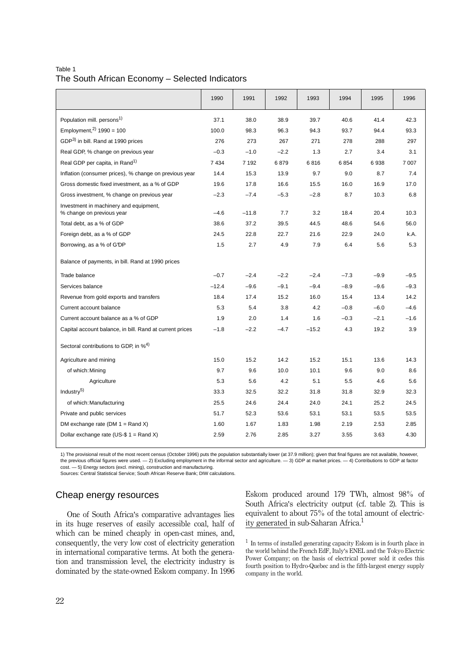### Table 1 The South African Economy – Selected Indicators

|                                                                     | 1990    | 1991    | 1992   | 1993    | 1994   | 1995   | 1996    |
|---------------------------------------------------------------------|---------|---------|--------|---------|--------|--------|---------|
| Population mill. persons <sup>1)</sup>                              | 37.1    | 38.0    | 38.9   | 39.7    | 40.6   | 41.4   | 42.3    |
| Employment, $^{2)}$ 1990 = 100                                      | 100.0   | 98.3    | 96.3   | 94.3    | 93.7   | 94.4   | 93.3    |
| GDP <sup>3)</sup> in bill. Rand at 1990 prices                      | 276     | 273     | 267    | 271     | 278    | 288    | 297     |
| Real GDP, % change on previous year                                 | $-0.3$  | $-1.0$  | $-2.2$ | 1.3     | 2.7    | 3.4    | 3.1     |
| Real GDP per capita, in Rand <sup>1)</sup>                          | 7 4 3 4 | 7 1 9 2 | 6879   | 6816    | 6854   | 6938   | 7 0 0 7 |
| Inflation (consumer prices), % change on previous year              | 14.4    | 15.3    | 13.9   | 9.7     | 9.0    | 8.7    | 7.4     |
| Gross domestic fixed investment, as a % of GDP                      | 19.6    | 17.8    | 16.6   | 15.5    | 16.0   | 16.9   | 17.0    |
| Gross investment, % change on previous year                         | $-2.3$  | $-7.4$  | $-5.3$ | $-2.8$  | 8.7    | 10.3   | 6.8     |
| Investment in machinery and equipment,<br>% change on previous year | $-4.6$  | $-11.8$ | 7.7    | 3.2     | 18.4   | 20.4   | 10.3    |
| Total debt, as a % of GDP                                           | 38.6    | 37.2    | 39.5   | 44.5    | 48.6   | 54.6   | 56.0    |
| Foreign debt, as a % of GDP                                         | 24.5    | 22.8    | 22.7   | 21.6    | 22.9   | 24.0   | k.A.    |
| Borrowing, as a % of GDP                                            | 1.5     | 2.7     | 4.9    | 7.9     | 6.4    | 5.6    | 5.3     |
| Balance of payments, in bill. Rand at 1990 prices                   |         |         |        |         |        |        |         |
| Trade balance                                                       | $-0.7$  | $-2.4$  | $-2.2$ | $-2.4$  | $-7.3$ | $-9.9$ | $-9.5$  |
| Services balance                                                    | $-12.4$ | $-9.6$  | $-9.1$ | $-9.4$  | $-8.9$ | $-9.6$ | $-9.3$  |
| Revenue from gold exports and transfers                             | 18.4    | 17.4    | 15.2   | 16.0    | 15.4   | 13.4   | 14.2    |
| Current account balance                                             | 5.3     | 5.4     | 3.8    | 4.2     | $-0.8$ | $-6.0$ | $-4.6$  |
| Current account balance as a % of GDP                               | 1.9     | 2.0     | 1.4    | 1.6     | $-0.3$ | $-2.1$ | $-1.6$  |
| Capital account balance, in bill. Rand at current prices            | $-1.8$  | $-2.2$  | $-4.7$ | $-15.2$ | 4.3    | 19.2   | 3.9     |
| Sectoral contributions to GDP, in % <sup>4)</sup>                   |         |         |        |         |        |        |         |
| Agriculture and mining                                              | 15.0    | 15.2    | 14.2   | 15.2    | 15.1   | 13.6   | 14.3    |
| of which: Mining                                                    | 9.7     | 9.6     | 10.0   | 10.1    | 9.6    | 9.0    | 8.6     |
| Agriculture                                                         | 5.3     | 5.6     | 4.2    | 5.1     | 5.5    | 4.6    | 5.6     |
| Industry <sup>5)</sup>                                              | 33.3    | 32.5    | 32.2   | 31.8    | 31.8   | 32.9   | 32.3    |
| of which: Manufacturing                                             | 25.5    | 24.6    | 24.4   | 24.0    | 24.1   | 25.2   | 24.5    |
| Private and public services                                         | 51.7    | 52.3    | 53.6   | 53.1    | 53.1   | 53.5   | 53.5    |
| DM exchange rate (DM $1 =$ Rand X)                                  | 1.60    | 1.67    | 1.83   | 1.98    | 2.19   | 2.53   | 2.85    |
| Dollar exchange rate (US-\$ $1 =$ Rand X)                           | 2.59    | 2.76    | 2.85   | 3.27    | 3.55   | 3.63   | 4.30    |
|                                                                     |         |         |        |         |        |        |         |

1) The provisional result of the most recent census (October 1996) puts the population substantially lower (at 37.9 million); given that final figures are not available, however, the previous official figures were used. — 2) Excluding employment in the informal sector and agriculture. — 3) GDP at market prices. — 4) Contributions to GDP at factor cost. — 5) Energy sectors (excl. mining), construction and manufacturing.

Sources: Central Statistical Service; South African Reserve Bank; DIW calculations.

# Cheap energy resources

One of South Africa's comparative advantages lies in its huge reserves of easily accessible coal, half of which can be mined cheaply in open-cast mines, and, consequently, the very low cost of electricity generation in international comparative terms. At both the generation and transmission level, the electricity industry is dominated by the state-owned Eskom company. In 1996 Eskom produced around 179 TWh, almost 98% of South Africa's electricity output (cf. table 2). This is equivalent to about 75% of the total amount of electricity generated in sub-Saharan Africa.<sup>1</sup>

 $^{\rm 1}$  In terms of installed generating capacity Eskom is in fourth place in the world behind the French EdF, Italy's ENEL and the Tokyo Electric Power Company; on the basis of electrical power sold it cedes this fourth position to Hydro-Quebec and is the fifth-largest energy supply company in the world.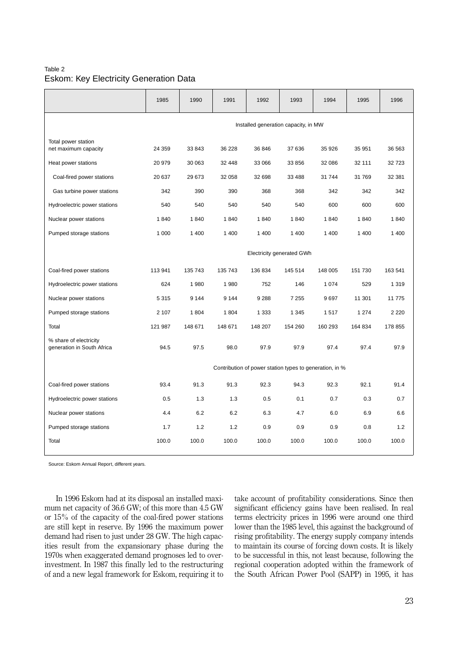## Table 2 Eskom: Key Electricity Generation Data

|                                                      | 1985                                                    | 1990    | 1991    | 1992    | 1993    | 1994    | 1995    | 1996    |
|------------------------------------------------------|---------------------------------------------------------|---------|---------|---------|---------|---------|---------|---------|
|                                                      | Installed generation capacity, in MW                    |         |         |         |         |         |         |         |
| Total power station<br>net maximum capacity          | 24 359                                                  | 33 843  | 36 228  | 36 846  | 37 636  | 35 926  | 35 951  | 36 563  |
| Heat power stations                                  | 20 979                                                  | 30 063  | 32 448  | 33 066  | 33 856  | 32 086  | 32 111  | 32723   |
| Coal-fired power stations                            | 20 637                                                  | 29 673  | 32 058  | 32 698  | 33 4 88 | 31 744  | 31 769  | 32 381  |
| Gas turbine power stations                           | 342                                                     | 390     | 390     | 368     | 368     | 342     | 342     | 342     |
| Hydroelectric power stations                         | 540                                                     | 540     | 540     | 540     | 540     | 600     | 600     | 600     |
| Nuclear power stations                               | 1840                                                    | 1840    | 1840    | 1840    | 1840    | 1840    | 1840    | 1840    |
| Pumped storage stations                              | 1 0 0 0                                                 | 1 400   | 1 400   | 1 400   | 1 4 0 0 | 1 4 0 0 | 1 400   | 1 400   |
|                                                      | Electricity generated GWh                               |         |         |         |         |         |         |         |
| Coal-fired power stations                            | 113 941                                                 | 135 743 | 135 743 | 136 834 | 145 514 | 148 005 | 151 730 | 163 541 |
| Hydroelectric power stations                         | 624                                                     | 1 980   | 1980    | 752     | 146     | 1 0 7 4 | 529     | 1 3 1 9 |
| Nuclear power stations                               | 5 3 1 5                                                 | 9 1 4 4 | 9 1 4 4 | 9 2 8 8 | 7 2 5 5 | 9697    | 11 301  | 11 775  |
| Pumped storage stations                              | 2 107                                                   | 1804    | 1804    | 1 3 3 3 | 1 3 4 5 | 1517    | 1 2 7 4 | 2 2 2 0 |
| Total                                                | 121 987                                                 | 148 671 | 148 671 | 148 207 | 154 260 | 160 293 | 164 834 | 178 855 |
| % share of electricity<br>generation in South Africa | 94.5                                                    | 97.5    | 98.0    | 97.9    | 97.9    | 97.4    | 97.4    | 97.9    |
|                                                      | Contribution of power station types to generation, in % |         |         |         |         |         |         |         |
| Coal-fired power stations                            | 93.4                                                    | 91.3    | 91.3    | 92.3    | 94.3    | 92.3    | 92.1    | 91.4    |
| Hydroelectric power stations                         | 0.5                                                     | 1.3     | 1.3     | 0.5     | 0.1     | 0.7     | 0.3     | 0.7     |
| Nuclear power stations                               | 4.4                                                     | 6.2     | 6.2     | 6.3     | 4.7     | 6.0     | 6.9     | 6.6     |
| Pumped storage stations                              | 1.7                                                     | 1.2     | 1.2     | 0.9     | 0.9     | 0.9     | 0.8     | 1.2     |
| Total                                                | 100.0                                                   | 100.0   | 100.0   | 100.0   | 100.0   | 100.0   | 100.0   | 100.0   |

Source: Eskom Annual Report, different years.

In 1996 Eskom had at its disposal an installed maximum net capacity of 36.6 GW; of this more than 4.5 GW or 15% of the capacity of the coal-fired power stations are still kept in reserve. By 1996 the maximum power demand had risen to just under 28 GW. The high capacities result from the expansionary phase during the 1970s when exaggerated demand prognoses led to overinvestment. In 1987 this finally led to the restructuring of and a new legal framework for Eskom, requiring it to take account of profitability considerations. Since then significant efficiency gains have been realised. In real terms electricity prices in 1996 were around one third lower than the 1985 level, this against the background of rising profitability. The energy supply company intends to maintain its course of forcing down costs. It is likely to be successful in this, not least because, following the regional cooperation adopted within the framework of the South African Power Pool (SAPP) in 1995, it has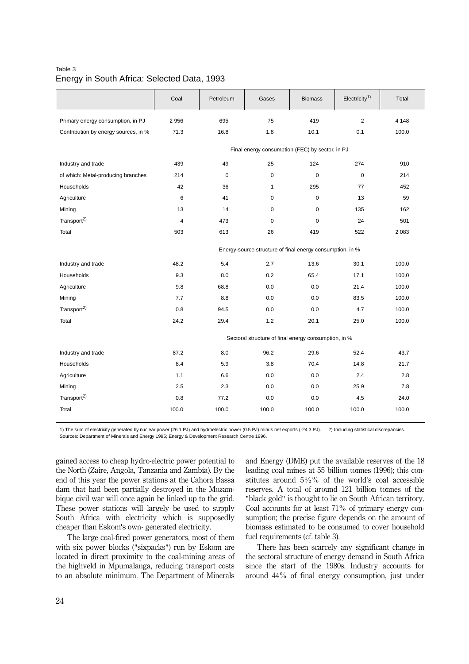|                                      | Coal                                                      | Petroleum         | Gases        | <b>Biomass</b> | Electricity <sup>1</sup> | Total   |  |
|--------------------------------------|-----------------------------------------------------------|-------------------|--------------|----------------|--------------------------|---------|--|
| Primary energy consumption, in PJ    | 2956                                                      | 695               | 75           | 419            | $\overline{2}$           | 4 1 4 8 |  |
| Contribution by energy sources, in % | 71.3                                                      | 16.8              | 1.8          | 10.1           | 0.1                      | 100.0   |  |
|                                      | Final energy consumption (FEC) by sector, in PJ           |                   |              |                |                          |         |  |
| Industry and trade                   | 439                                                       | 49                | 25           | 124            | 274                      | 910     |  |
| of which: Metal-producing branches   | 214                                                       | $\mathbf 0$       | $\mathbf 0$  | $\mathbf 0$    | $\mathbf 0$              | 214     |  |
| Households                           | 42                                                        | 36                | $\mathbf{1}$ | 295            | 77                       | 452     |  |
| Agriculture                          | 6                                                         | 41<br>$\mathbf 0$ |              | $\mathbf 0$    | 13                       | 59      |  |
| Mining                               | 13                                                        | 14                | $\mathbf 0$  | $\mathbf 0$    | 135                      | 162     |  |
| Transport <sup>2)</sup>              | $\overline{4}$                                            | 473               | $\Omega$     | $\Omega$       | 24                       | 501     |  |
| Total                                | 503                                                       | 613               | 26           | 419            | 522                      | 2083    |  |
|                                      | Energy-source structure of final energy consumption, in % |                   |              |                |                          |         |  |
| Industry and trade                   | 48.2                                                      | 5.4               | 2.7          | 13.6           | 30.1                     | 100.0   |  |
| Households                           | 9.3                                                       | 8.0               | 0.2          | 65.4           | 17.1                     | 100.0   |  |
| Agriculture                          | 9.8                                                       | 68.8              | 0.0          | 0.0            | 21.4                     | 100.0   |  |
| Mining                               | 7.7                                                       | 8.8               | 0.0          | 0.0            | 83.5                     | 100.0   |  |
| Transport <sup>2)</sup>              | 0.8                                                       | 94.5              | 0.0          | 0.0            | 4.7                      | 100.0   |  |
| Total                                | 24.2                                                      | 29.4              | 1.2          | 20.1           | 25.0                     | 100.0   |  |
|                                      | Sectoral structure of final energy consumption, in %      |                   |              |                |                          |         |  |
| Industry and trade                   | 87.2                                                      | 8.0               | 96.2         | 29.6           | 52.4                     | 43.7    |  |
| Households                           | 8.4                                                       | 5.9               | 3.8          | 70.4           | 14.8                     | 21.7    |  |
| Agriculture                          | 1.1                                                       | 6.6               | 0.0          | 0.0            | 2.4                      | 2.8     |  |
| Mining                               | 2.5                                                       | 2.3               | 0.0          | 0.0            | 25.9                     | 7.8     |  |
| Transport <sup>2)</sup>              | 0.8                                                       | 77.2              | 0.0          | 0.0            | 4.5                      | 24.0    |  |
| Total                                | 100.0                                                     | 100.0             | 100.0        | 100.0          | 100.0                    | 100.0   |  |

## Table 3 Energy in South Africa: Selected Data, 1993

1) The sum of electricity generated by nuclear power (26.1 PJ) and hydroelectric power (0.5 PJ) minus net exports (-24.3 PJ). — 2) Including statistical discrepancies. Sources: Department of Minerals and Energy 1995; Energy & Development Research Centre 1996.

gained access to cheap hydro-electric power potential to the North (Zaire, Angola, Tanzania and Zambia). By the end of this year the power stations at the Cahora Bassa dam that had been partially destroyed in the Mozambique civil war will once again be linked up to the grid. These power stations will largely be used to supply South Africa with electricity which is supposedly cheaper than Eskom's own- generated electricity.

The large coal-fired power generators, most of them with six power blocks ("sixpacks") run by Eskom are located in direct proximity to the coal-mining areas of the highveld in Mpumalanga, reducing transport costs to an absolute minimum. The Department of Minerals

and Energy (DME) put the available reserves of the 18 leading coal mines at 55 billion tonnes (1996); this constitutes around  $5\frac{1}{2}\%$  of the world's coal accessible reserves. A total of around 121 billion tonnes of the "black gold" is thought to lie on South African territory. Coal accounts for at least 71% of primary energy consumption; the precise figure depends on the amount of biomass estimated to be consumed to cover household fuel requirements (cf. table 3).

There has been scarcely any significant change in the sectoral structure of energy demand in South Africa since the start of the 1980s. Industry accounts for around 44% of final energy consumption, just under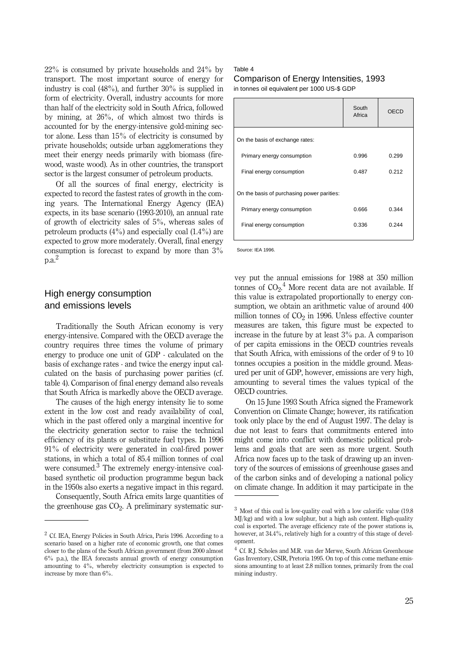22% is consumed by private households and 24% by transport. The most important source of energy for industry is coal (48%), and further 30% is supplied in form of electricity. Overall, industry accounts for more than half of the electricity sold in South Africa, followed by mining, at 26%, of which almost two thirds is accounted for by the energy-intensive gold-mining sector alone. Less than 15% of electricity is consumed by private households; outside urban agglomerations they meet their energy needs primarily with biomass (firewood, waste wood). As in other countries, the transport sector is the largest consumer of petroleum products.

Of all the sources of final energy, electricity is expected to record the fastest rates of growth in the coming years. The International Energy Agency (IEA) expects, in its base scenario (1993-2010), an annual rate of growth of electricity sales of 5%, whereas sales of petroleum products  $(4\%)$  and especially coal  $(1.4\%)$  are expected to grow more moderately. Overall, final energy consumption is forecast to expand by more than 3%  $a^2$ 

# High energy consumption and emissions levels

Traditionally the South African economy is very energy-intensive. Compared with the OECD average the country requires three times the volume of primary energy to produce one unit of GDP - calculated on the basis of exchange rates - and twice the energy input calculated on the basis of purchasing power parities (cf. table 4). Comparison of final energy demand also reveals that South Africa is markedly above the OECD average.

The causes of the high energy intensity lie to some extent in the low cost and ready availability of coal, which in the past offered only a marginal incentive for the electricity generation sector to raise the technical efficiency of its plants or substitute fuel types. In 1996 91% of electricity were generated in coal-fired power stations, in which a total of 85.4 million tonnes of coal were consumed.<sup>3</sup> The extremely energy-intensive coalbased synthetic oil production programme begun back in the 1950s also exerts a negative impact in this regard.

Consequently, South Africa emits large quantities of the greenhouse gas  $CO<sub>2</sub>$ . A preliminary systematic sur-

#### Table 4 Comparison of Energy Intensities, 1993 in tonnes oil equivalent per 1000 US-\$ GDP

|                                            | South<br>Africa | OECD  |
|--------------------------------------------|-----------------|-------|
| On the basis of exchange rates:            |                 |       |
| Primary energy consumption                 | 0.996           | 0.299 |
| Final energy consumption                   | 0.487           | 0.212 |
| On the basis of purchasing power parities: |                 |       |
| Primary energy consumption                 | 0.666           | 0.344 |
| Final energy consumption                   | 0.336           | 0.244 |
|                                            |                 |       |

Source: IEA 1996.

vey put the annual emissions for 1988 at 350 million tonnes of  $CO<sub>2</sub>$ .<sup>4</sup> More recent data are not available. If this value is extrapolated proportionally to energy consumption, we obtain an arithmetic value of around 400 million tonnes of  $CO<sub>2</sub>$  in 1996. Unless effective counter measures are taken, this figure must be expected to increase in the future by at least 3% p.a. A comparison of per capita emissions in the OECD countries reveals that South Africa, with emissions of the order of 9 to 10 tonnes occupies a position in the middle ground. Measured per unit of GDP, however, emissions are very high, amounting to several times the values typical of the OECD countries.

On 15 June 1993 South Africa signed the Framework Convention on Climate Change; however, its ratification took only place by the end of August 1997. The delay is due not least to fears that commitments entered into might come into conflict with domestic political problems and goals that are seen as more urgent. South Africa now faces up to the task of drawing up an inventory of the sources of emissions of greenhouse gases and of the carbon sinks and of developing a national policy on climate change. In addition it may participate in the

 $2^{\circ}$  Cf. IEA, Energy Policies in South Africa, Paris 1996. According to a scenario based on a higher rate of economic growth, one that comes closer to the plans of the South African government (from 2000 almost 6% p.a.), the IEA forecasts annual growth of energy consumption amounting to 4%, whereby electricity consumption is expected to increase by more than 6%.

<sup>&</sup>lt;sup>3</sup> Most of this coal is low-quality coal with a low calorific value (19.8) MJ/kg) and with a low sulphur, but a high ash content. High-quality coal is exported. The average efficiency rate of the power stations is, however, at 34.4%, relatively high for a country of this stage of development.

<sup>&</sup>lt;sup>4</sup> Cf. R.J. Scholes and M.R. van der Merwe, South African Greenhouse Gas Inventory, CSIR, Pretoria 1995. On top of this come methane emissions amounting to at least 2.8 million tonnes, primarily from the coal mining industry.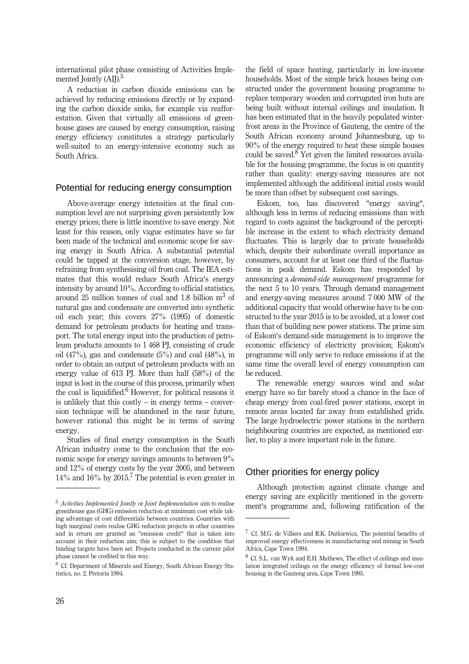international pilot phase consisting of Activities Implemented Jointly (AIJ).<sup>5</sup>

A reduction in carbon dioxide emissions can be achieved by reducing emissions directly or by expanding the carbon dioxide sinks, for example via reafforestation. Given that virtually all emissions of greenhouse gases are caused by energy consumption, raising energy efficiency constitutes a strategy particularly well-suited to an energy-intensive economy such as South Africa.

#### Potential for reducing energy consumption

Above-average energy intensities at the final consumption level are not surprising given persistently low energy prices; there is little incentive to save energy. Not least for this reason, only vague estimates have so far been made of the technical and economic scope for saving energy in South Africa. A substantial potential could be tapped at the conversion stage, however, by refraining from synthesising oil from coal. The IEA estimates that this would reduce South Africa's energy intensity by around 10%. According to official statistics, around  $25$  million tonnes of coal and 1.8 billion  $m<sup>3</sup>$  of natural gas and condensate are converted into synthetic oil each year; this covers 27% (1995) of domestic demand for petroleum products for heating and transport. The total energy input into the production of petroleum products amounts to 1 468 PJ, consisting of crude oil (47%), gas and condensate  $(5\%)$  and coal (48%), in order to obtain an output of petroleum products with an energy value of 613 PJ. More than half (58%) of the input is lost in the course of this process, primarily when the coal is liquidified.<sup>6</sup> However, for political reasons it is unlikely that this costly  $-$  in energy terms  $-$  conversion technique will be abandoned in the near future, however rational this might be in terms of saving energy.

Studies of final energy consumption in the South African industry come to the conclusion that the economic scope for energy savings amounts to between 9% and 12% of energy costs by the year 2005, and between  $14\%$  and  $16\%$  by  $2015<sup>7</sup>$  The potential is even greater in

the field of space heating, particularly in low-income households. Most of the simple brick houses being constructed under the government housing programme to replace temporary wooden and corrugated iron huts are being built without internal ceilings and insulation. It has been estimated that in the heavily populated winterfrost areas in the Province of Gauteng, the centre of the South African economy around Johannesburg, up to 90% of the energy required to heat these simple houses could be saved. $8$  Yet given the limited resources available for the housing programme, the focus is on quantity rather than quality: energy-saving measures are not implemented although the additional initial costs would be more than offset by subsequent cost savings.

Eskom, too, has discovered "energy saving", although less in terms of reducing emissions than with regard to costs against the background of the perceptible increase in the extent to which electricity demand fluctuates. This is largely due to private households which, despite their subordinate overall importance as consumers, account for at least one third of the fluctuations in peak demand. Eskom has responded by announcing a *demand-side management* programme for the next 5 to 10 years. Through demand management and energy-saving measures around 7 000 MW of the additional capacity that would otherwise have to be constructed to the year 2015 is to be avoided, at a lower cost than that of building new power stations. The prime aim of Eskom's demand-side management is to improve the economic efficiency of electricity provision; Eskom's programme will only serve to reduce emissions if at the same time the overall level of energy consumption can be reduced.

The renewable energy sources wind and solar energy have so far barely stood a chance in the face of cheap energy from coal-fired power stations, except in remote areas located far away from established grids. The large hydroelectric power stations in the northern neighbouring countries are expected, as mentioned earlier, to play a more important role in the future.

## Other priorities for energy policy

Although protection against climate change and energy saving are explicitly mentioned in the govern-<sup>5</sup> Activities Implemented Jointly or Joint Implementation aim to realise ment's programme and, following ratification of the

greenhouse gas (GHG) emission reduction at minimum cost while taking advantage of cost differentials between countries. Countries with high marginal costs realise GHG reduction projects in other countries and in return are granted an "emission credit" that is taken into account in their reduction aim; this is subject to the condition that binding targets have been set. Projects conducted in the current pilot phase cannot be credited in this way.

 $6$  Cf. Department of Minerals and Energy, South African Energy Statistics, no. 2, Pretoria 1994.

 $7$  Cf. M.G. de Villiers and R.K. Dutkiewicz, The potential benefits of improved energy effectiveness in manufacturing and mining in South Africa, Cape Town 1994.

<sup>&</sup>lt;sup>8</sup> Cf. S.L. van Wyk and E.H. Mathews, The effect of ceilings and insulation integrated ceilings on the energy efficiency of formal low-cost housing in the Gauteng area, Cape Town 1995.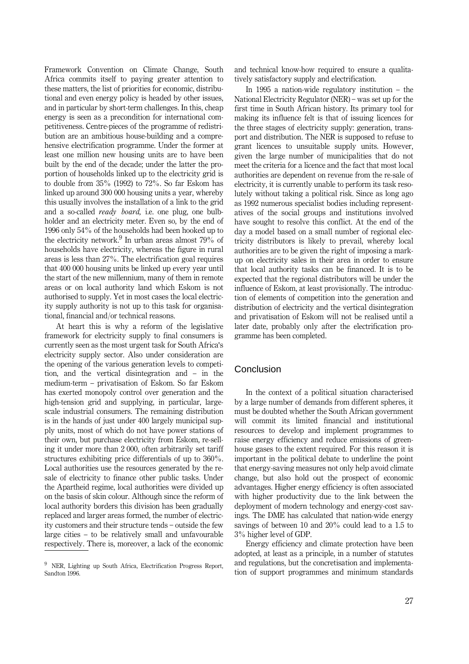Framework Convention on Climate Change, South Africa commits itself to paying greater attention to these matters, the list of priorities for economic, distributional and even energy policy is headed by other issues, and in particular by short-term challenges. In this, cheap energy is seen as a precondition for international competitiveness. Centre-pieces of the programme of redistribution are an ambitious house-building and a comprehensive electrification programme. Under the former at least one million new housing units are to have been built by the end of the decade; under the latter the proportion of households linked up to the electricity grid is to double from 35% (1992) to 72%. So far Eskom has linked up around 300 000 housing units a year, whereby this usually involves the installation of a link to the grid and a so-called *ready board,* i.e. one plug, one bulbholder and an electricity meter. Even so, by the end of 1996 only 54% of the households had been hooked up to the electricity network.<sup>9</sup> In urban areas almost  $79\%$  of households have electricity, whereas the figure in rural areas is less than 27%. The electrification goal requires that 400 000 housing units be linked up every year until the start of the new millennium, many of them in remote areas or on local authority land which Eskom is not authorised to supply. Yet in most cases the local electricity supply authority is not up to this task for organisational, financial and/or technical reasons.

At heart this is why a reform of the legislative framework for electricity supply to final consumers is currently seen as the most urgent task for South Africa's electricity supply sector. Also under consideration are the opening of the various generation levels to competition, and the vertical disintegration and  $-$  in the medium-term \_ privatisation of Eskom. So far Eskom has exerted monopoly control over generation and the high-tension grid and supplying, in particular, largescale industrial consumers. The remaining distribution is in the hands of just under 400 largely municipal supply units, most of which do not have power stations of their own, but purchase electricity from Eskom, re-selling it under more than 2 000, often arbitrarily set tariff structures exhibiting price differentials of up to 360%. Local authorities use the resources generated by the resale of electricity to finance other public tasks. Under the Apartheid regime, local authorities were divided up on the basis of skin colour. Although since the reform of local authority borders this division has been gradually replaced and larger areas formed, the number of electricity customers and their structure tends - outside the few large cities - to be relatively small and unfavourable respectively. There is, moreover, a lack of the economic

<sup>9</sup> NER, Lighting up South Africa, Electrification Progress Report, Sandton 1996.

and technical know-how required to ensure a qualitatively satisfactory supply and electrification.

In 1995 a nation-wide regulatory institution  $-$  the National Electricity Regulator (NER) – was set up for the first time in South African history. Its primary tool for making its influence felt is that of issuing licences for the three stages of electricity supply: generation, transport and distribution. The NER is supposed to refuse to grant licences to unsuitable supply units. However, given the large number of municipalities that do not meet the criteria for a licence and the fact that most local authorities are dependent on revenue from the re-sale of electricity, it is currently unable to perform its task resolutely without taking a political risk. Since as long ago as 1992 numerous specialist bodies including representatives of the social groups and institutions involved have sought to resolve this conflict. At the end of the day a model based on a small number of regional electricity distributors is likely to prevail, whereby local authorities are to be given the right of imposing a markup on electricity sales in their area in order to ensure that local authority tasks can be financed. It is to be expected that the regional distributors will be under the influence of Eskom, at least provisionally. The introduction of elements of competition into the generation and distribution of electricity and the vertical disintegration and privatisation of Eskom will not be realised until a later date, probably only after the electrification programme has been completed.

# Conclusion

In the context of a political situation characterised by a large number of demands from different spheres, it must be doubted whether the South African government will commit its limited financial and institutional resources to develop and implement programmes to raise energy efficiency and reduce emissions of greenhouse gases to the extent required. For this reason it is important in the political debate to underline the point that energy-saving measures not only help avoid climate change, but also hold out the prospect of economic advantages. Higher energy efficiency is often associated with higher productivity due to the link between the deployment of modern technology and energy-cost savings. The DME has calculated that nation-wide energy savings of between 10 and 20% could lead to a 1.5 to 3% higher level of GDP.

Energy efficiency and climate protection have been adopted, at least as a principle, in a number of statutes and regulations, but the concretisation and implementation of support programmes and minimum standards